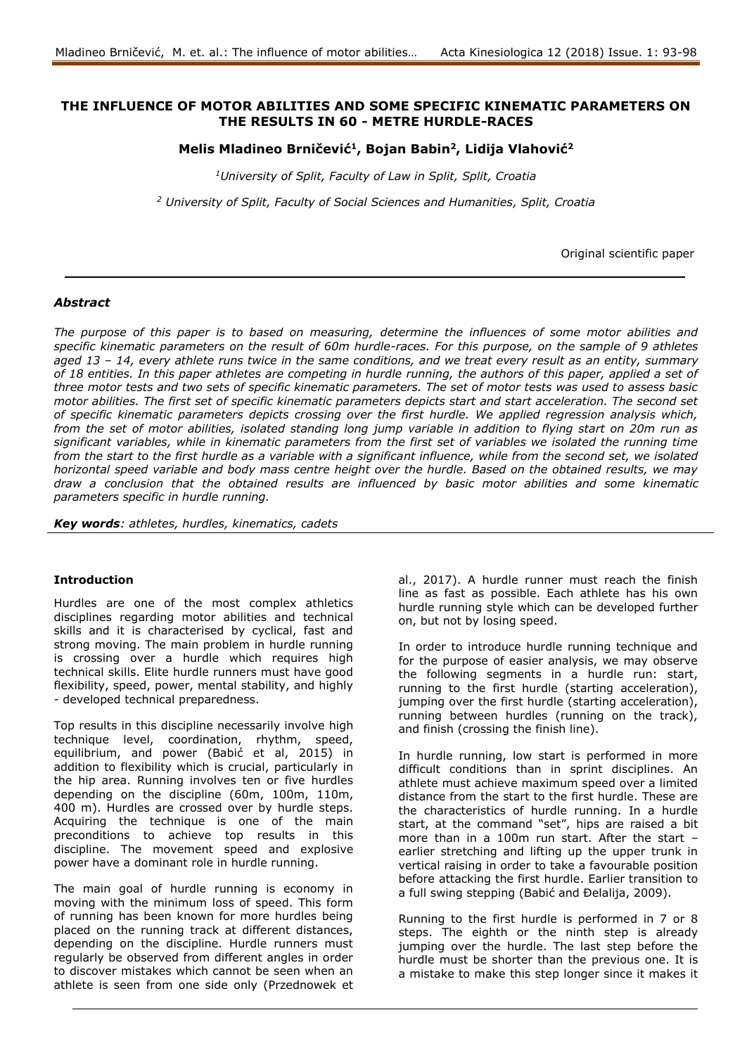## **THE INFLUENCE OF MOTOR ABILITIES AND SOME SPECIFIC KINEMATIC PARAMETERS ON THE RESULTS IN 60 - METRE HURDLE-RACES**

**Melis Mladineo Brničević<sup>1</sup> , Bojan Babin<sup>2</sup> , Lidija Vlahović<sup>2</sup>**

*<sup>1</sup>University of Split, Faculty of Law in Split, Split, Croatia*

*<sup>2</sup> University of Split, Faculty of Social Sciences and Humanities, Split, Croatia*

Original scientific paper

## *Abstract*

*The purpose of this paper is to based on measuring, determine the influences of some motor abilities and specific kinematic parameters on the result of 60m hurdle-races. For this purpose, on the sample of 9 athletes aged 13 – 14, every athlete runs twice in the same conditions, and we treat every result as an entity, summary of 18 entities. In this paper athletes are competing in hurdle running, the authors of this paper, applied a set of three motor tests and two sets of specific kinematic parameters. The set of motor tests was used to assess basic motor abilities. The first set of specific kinematic parameters depicts start and start acceleration. The second set of specific kinematic parameters depicts crossing over the first hurdle. We applied regression analysis which, from the set of motor abilities, isolated standing long jump variable in addition to flying start on 20m run as significant variables, while in kinematic parameters from the first set of variables we isolated the running time from the start to the first hurdle as a variable with a significant influence, while from the second set, we isolated horizontal speed variable and body mass centre height over the hurdle. Based on the obtained results, we may draw a conclusion that the obtained results are influenced by basic motor abilities and some kinematic parameters specific in hurdle running.*

*Key words: athletes, hurdles, kinematics, cadets*

### **Introduction**

Hurdles are one of the most complex athletics disciplines regarding motor abilities and technical skills and it is characterised by cyclical, fast and strong moving. The main problem in hurdle running is crossing over a hurdle which requires high technical skills. Elite hurdle runners must have good flexibility, speed, power, mental stability, and highly - developed technical preparedness.

Top results in this discipline necessarily involve high technique level, coordination, rhythm, speed, equilibrium, and power (Babić et al, 2015) in addition to flexibility which is crucial, particularly in the hip area. Running involves ten or five hurdles depending on the discipline (60m, 100m, 110m, 400 m). Hurdles are crossed over by hurdle steps. Acquiring the technique is one of the main preconditions to achieve top results in this discipline. The movement speed and explosive power have a dominant role in hurdle running.

The main goal of hurdle running is economy in moving with the minimum loss of speed. This form of running has been known for more hurdles being placed on the running track at different distances, depending on the discipline. Hurdle runners must regularly be observed from different angles in order to discover mistakes which cannot be seen when an athlete is seen from one side only (Przednowek et

al., 2017). A hurdle runner must reach the finish line as fast as possible. Each athlete has his own hurdle running style which can be developed further on, but not by losing speed.

In order to introduce hurdle running technique and for the purpose of easier analysis, we may observe the following segments in a hurdle run: start, running to the first hurdle (starting acceleration), jumping over the first hurdle (starting acceleration), running between hurdles (running on the track), and finish (crossing the finish line).

In hurdle running, low start is performed in more difficult conditions than in sprint disciplines. An athlete must achieve maximum speed over a limited distance from the start to the first hurdle. These are the characteristics of hurdle running. In a hurdle start, at the command "set", hips are raised a bit more than in a 100m run start. After the start – earlier stretching and lifting up the upper trunk in vertical raising in order to take a favourable position before attacking the first hurdle. Earlier transition to a full swing stepping (Babić and Đelalija, 2009).

Running to the first hurdle is performed in 7 or 8 steps. The eighth or the ninth step is already jumping over the hurdle. The last step before the hurdle must be shorter than the previous one. It is a mistake to make this step longer since it makes it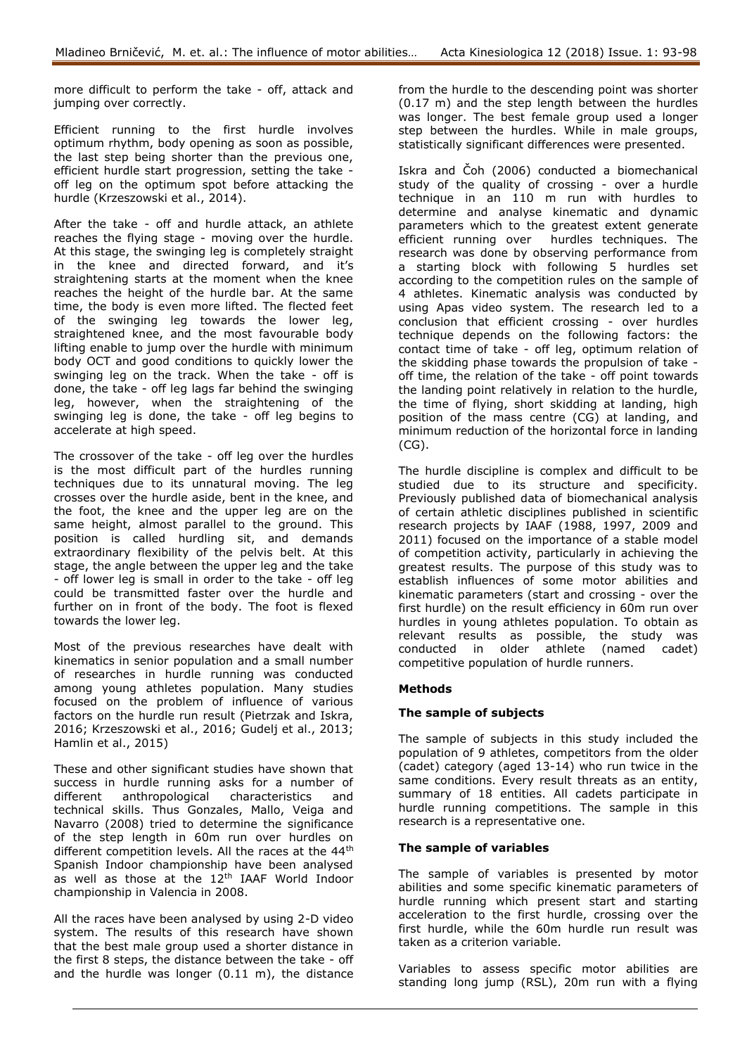more difficult to perform the take - off, attack and jumping over correctly.

Efficient running to the first hurdle involves optimum rhythm, body opening as soon as possible, the last step being shorter than the previous one, efficient hurdle start progression, setting the take off leg on the optimum spot before attacking the hurdle (Krzeszowski et al., 2014).

After the take - off and hurdle attack, an athlete reaches the flying stage - moving over the hurdle. At this stage, the swinging leg is completely straight in the knee and directed forward, and it's straightening starts at the moment when the knee reaches the height of the hurdle bar. At the same time, the body is even more lifted. The flected feet of the swinging leg towards the lower leg, straightened knee, and the most favourable body lifting enable to jump over the hurdle with minimum body OCT and good conditions to quickly lower the swinging leg on the track. When the take - off is done, the take - off leg lags far behind the swinging leg, however, when the straightening of the swinging leg is done, the take - off leg begins to accelerate at high speed.

The crossover of the take - off leg over the hurdles is the most difficult part of the hurdles running techniques due to its unnatural moving. The leg crosses over the hurdle aside, bent in the knee, and the foot, the knee and the upper leg are on the same height, almost parallel to the ground. This position is called hurdling sit, and demands extraordinary flexibility of the pelvis belt. At this stage, the angle between the upper leg and the take - off lower leg is small in order to the take - off leg could be transmitted faster over the hurdle and further on in front of the body. The foot is flexed towards the lower leg.

Most of the previous researches have dealt with kinematics in senior population and a small number of researches in hurdle running was conducted among young athletes population. Many studies focused on the problem of influence of various factors on the hurdle run result (Pietrzak and Iskra, 2016; Krzeszowski et al., 2016; Gudelj et al., 2013; Hamlin et al., 2015)

These and other significant studies have shown that success in hurdle running asks for a number of different anthropological characteristics and technical skills. Thus Gonzales, Mallo, Veiga and Navarro (2008) tried to determine the significance of the step length in 60m run over hurdles on different competition levels. All the races at the 44<sup>th</sup> Spanish Indoor championship have been analysed as well as those at the 12<sup>th</sup> IAAF World Indoor championship in Valencia in 2008.

All the races have been analysed by using 2-D video system. The results of this research have shown that the best male group used a shorter distance in the first 8 steps, the distance between the take - off and the hurdle was longer (0.11 m), the distance

from the hurdle to the descending point was shorter (0.17 m) and the step length between the hurdles was longer. The best female group used a longer step between the hurdles. While in male groups, statistically significant differences were presented.

Iskra and Čoh (2006) conducted a biomechanical study of the quality of crossing - over a hurdle technique in an 110 m run with hurdles to determine and analyse kinematic and dynamic parameters which to the greatest extent generate efficient running over hurdles techniques. The research was done by observing performance from a starting block with following 5 hurdles set according to the competition rules on the sample of 4 athletes. Kinematic analysis was conducted by using Apas video system. The research led to a conclusion that efficient crossing - over hurdles technique depends on the following factors: the contact time of take - off leg, optimum relation of the skidding phase towards the propulsion of take off time, the relation of the take - off point towards the landing point relatively in relation to the hurdle, the time of flying, short skidding at landing, high position of the mass centre (CG) at landing, and minimum reduction of the horizontal force in landing (CG).

The hurdle discipline is complex and difficult to be studied due to its structure and specificity. Previously published data of biomechanical analysis of certain athletic disciplines published in scientific research projects by IAAF (1988, 1997, 2009 and 2011) focused on the importance of a stable model of competition activity, particularly in achieving the greatest results. The purpose of this study was to establish influences of some motor abilities and kinematic parameters (start and crossing - over the first hurdle) on the result efficiency in 60m run over hurdles in young athletes population. To obtain as relevant results as possible, the study was conducted in older athlete (named cadet) competitive population of hurdle runners.

# **Methods**

## **The sample of subjects**

The sample of subjects in this study included the population of 9 athletes, competitors from the older (cadet) category (aged 13-14) who run twice in the same conditions. Every result threats as an entity, summary of 18 entities. All cadets participate in hurdle running competitions. The sample in this research is a representative one.

## **The sample of variables**

The sample of variables is presented by motor abilities and some specific kinematic parameters of hurdle running which present start and starting acceleration to the first hurdle, crossing over the first hurdle, while the 60m hurdle run result was taken as a criterion variable.

Variables to assess specific motor abilities are standing long jump (RSL), 20m run with a flying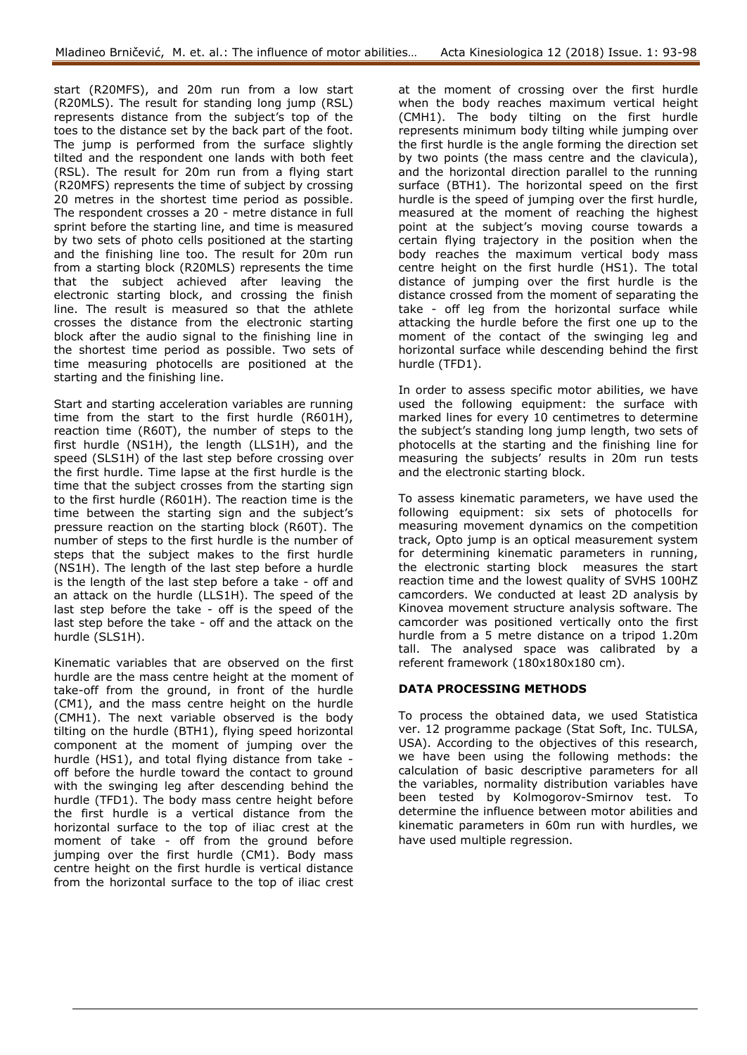start (R20MFS), and 20m run from a low start (R20MLS). The result for standing long jump (RSL) represents distance from the subject's top of the toes to the distance set by the back part of the foot. The jump is performed from the surface slightly tilted and the respondent one lands with both feet (RSL). The result for 20m run from a flying start (R20MFS) represents the time of subject by crossing 20 metres in the shortest time period as possible. The respondent crosses a 20 - metre distance in full sprint before the starting line, and time is measured by two sets of photo cells positioned at the starting and the finishing line too. The result for 20m run from a starting block (R20MLS) represents the time that the subject achieved after leaving the electronic starting block, and crossing the finish line. The result is measured so that the athlete crosses the distance from the electronic starting block after the audio signal to the finishing line in the shortest time period as possible. Two sets of time measuring photocells are positioned at the starting and the finishing line.

Start and starting acceleration variables are running time from the start to the first hurdle (R601H), reaction time (R60T), the number of steps to the first hurdle (NS1H), the length (LLS1H), and the speed (SLS1H) of the last step before crossing over the first hurdle. Time lapse at the first hurdle is the time that the subject crosses from the starting sign to the first hurdle (R601H). The reaction time is the time between the starting sign and the subject's pressure reaction on the starting block (R60T). The number of steps to the first hurdle is the number of steps that the subject makes to the first hurdle (NS1H). The length of the last step before a hurdle is the length of the last step before a take - off and an attack on the hurdle (LLS1H). The speed of the last step before the take - off is the speed of the last step before the take - off and the attack on the hurdle (SLS1H).

Kinematic variables that are observed on the first hurdle are the mass centre height at the moment of take-off from the ground, in front of the hurdle (CM1), and the mass centre height on the hurdle (CMH1). The next variable observed is the body tilting on the hurdle (BTH1), flying speed horizontal component at the moment of jumping over the hurdle (HS1), and total flying distance from take off before the hurdle toward the contact to ground with the swinging leg after descending behind the hurdle (TFD1). The body mass centre height before the first hurdle is a vertical distance from the horizontal surface to the top of iliac crest at the moment of take - off from the ground before jumping over the first hurdle (CM1). Body mass centre height on the first hurdle is vertical distance from the horizontal surface to the top of iliac crest

at the moment of crossing over the first hurdle when the body reaches maximum vertical height (CMH1). The body tilting on the first hurdle represents minimum body tilting while jumping over the first hurdle is the angle forming the direction set by two points (the mass centre and the clavicula), and the horizontal direction parallel to the running surface (BTH1). The horizontal speed on the first hurdle is the speed of jumping over the first hurdle, measured at the moment of reaching the highest point at the subject's moving course towards a certain flying trajectory in the position when the body reaches the maximum vertical body mass centre height on the first hurdle (HS1). The total distance of jumping over the first hurdle is the distance crossed from the moment of separating the take - off leg from the horizontal surface while attacking the hurdle before the first one up to the moment of the contact of the swinging leg and horizontal surface while descending behind the first hurdle (TFD1).

In order to assess specific motor abilities, we have used the following equipment: the surface with marked lines for every 10 centimetres to determine the subject's standing long jump length, two sets of photocells at the starting and the finishing line for measuring the subjects' results in 20m run tests and the electronic starting block.

To assess kinematic parameters, we have used the following equipment: six sets of photocells for measuring movement dynamics on the competition track, Opto jump is an optical measurement system for determining kinematic parameters in running, the electronic starting block measures the start reaction time and the lowest quality of SVHS 100HZ camcorders. We conducted at least 2D analysis by Kinovea movement structure analysis software. The camcorder was positioned vertically onto the first hurdle from a 5 metre distance on a tripod 1.20m tall. The analysed space was calibrated by a referent framework (180x180x180 cm).

# **DATA PROCESSING METHODS**

To process the obtained data, we used Statistica ver. 12 programme package (Stat Soft, Inc. TULSA, USA). According to the objectives of this research, we have been using the following methods: the calculation of basic descriptive parameters for all the variables, normality distribution variables have been tested by Kolmogorov-Smirnov test. To determine the influence between motor abilities and kinematic parameters in 60m run with hurdles, we have used multiple regression.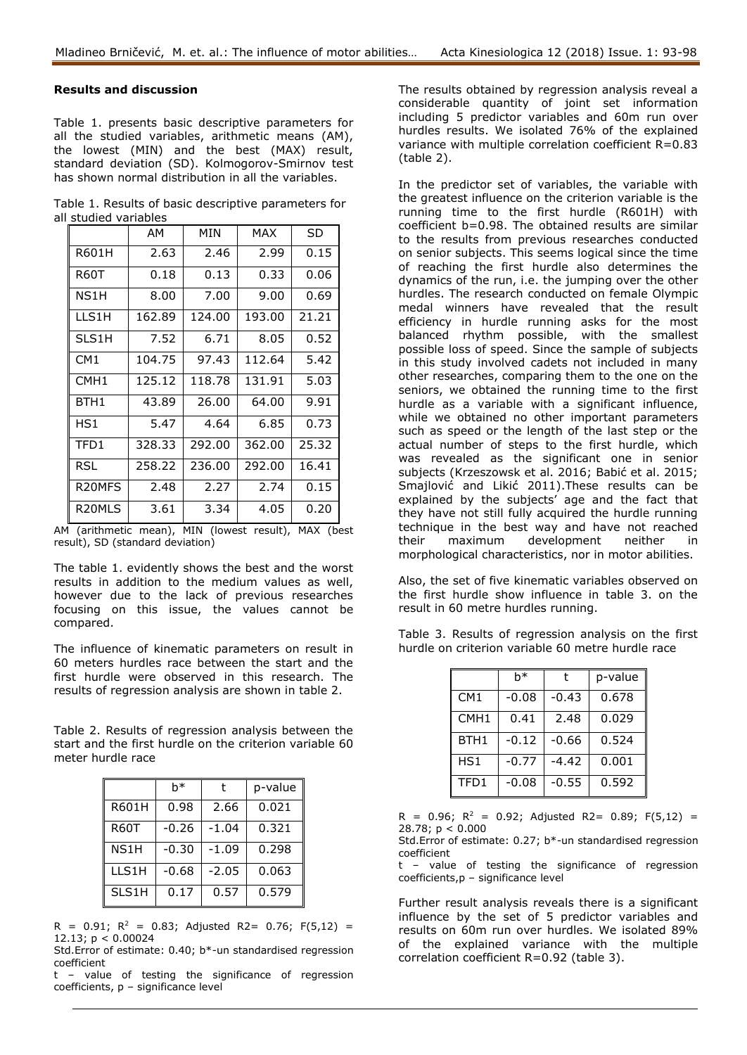## **Results and discussion**

Table 1. presents basic descriptive parameters for all the studied variables, arithmetic means (AM), the lowest (MIN) and the best (MAX) result, standard deviation (SD). Kolmogorov-Smirnov test has shown normal distribution in all the variables.

|                       | Table 1. Results of basic descriptive parameters for |
|-----------------------|------------------------------------------------------|
| all studied variables |                                                      |

|                     | AM     | MIN    | MAX    | SD    |
|---------------------|--------|--------|--------|-------|
| R601H               | 2.63   | 2.46   | 2.99   | 0.15  |
| <b>R60T</b>         | 0.18   | 0.13   | 0.33   | 0.06  |
| NS1H                | 8.00   | 7.00   | 9.00   | 0.69  |
| LLS1H               | 162.89 | 124.00 | 193.00 | 21.21 |
| SLS1H               | 7.52   | 6.71   | 8.05   | 0.52  |
| CM <sub>1</sub>     | 104.75 | 97.43  | 112.64 | 5.42  |
| CMH <sub>1</sub>    | 125.12 | 118.78 | 131.91 | 5.03  |
| BTH1                | 43.89  | 26.00  | 64.00  | 9.91  |
| HS1                 | 5.47   | 4.64   | 6.85   | 0.73  |
| TFD1                | 328.33 | 292.00 | 362.00 | 25.32 |
| RSL                 | 258.22 | 236.00 | 292.00 | 16.41 |
| R <sub>20</sub> MFS | 2.48   | 2.27   | 2.74   | 0.15  |
| R <sub>20</sub> MLS | 3.61   | 3.34   | 4.05   | 0.20  |

AM (arithmetic mean), MIN (lowest result), MAX (best result), SD (standard deviation)

The table 1. evidently shows the best and the worst results in addition to the medium values as well, however due to the lack of previous researches focusing on this issue, the values cannot be compared.

The influence of kinematic parameters on result in 60 meters hurdles race between the start and the first hurdle were observed in this research. The results of regression analysis are shown in table 2.

Table 2. Results of regression analysis between the start and the first hurdle on the criterion variable 60 meter hurdle race

|       | h*      |         | p-value |
|-------|---------|---------|---------|
| R601H | 0.98    | 2.66    | 0.021   |
| R60T  | $-0.26$ | $-1.04$ | 0.321   |
| NS1H  | $-0.30$ | $-1.09$ | 0.298   |
| LLS1H | $-0.68$ | $-2.05$ | 0.063   |
| SLS1H | 0.17    | 0.57    | 0.579   |

 $R = 0.91$ ;  $R^2 = 0.83$ ; Adjusted R2= 0.76; F(5,12) = 12.13; p < 0.00024

Std.Error of estimate: 0.40; b\*-un standardised regression coefficient

t – value of testing the significance of regression coefficients, p – significance level

The results obtained by regression analysis reveal a considerable quantity of joint set information including 5 predictor variables and 60m run over hurdles results. We isolated 76% of the explained variance with multiple correlation coefficient R=0.83 (table 2).

In the predictor set of variables, the variable with the greatest influence on the criterion variable is the running time to the first hurdle (R601H) with coefficient b=0.98. The obtained results are similar to the results from previous researches conducted on senior subjects. This seems logical since the time of reaching the first hurdle also determines the dynamics of the run, i.e. the jumping over the other hurdles. The research conducted on female Olympic medal winners have revealed that the result efficiency in hurdle running asks for the most balanced rhythm possible, with the smallest possible loss of speed. Since the sample of subjects in this study involved cadets not included in many other researches, comparing them to the one on the seniors, we obtained the running time to the first hurdle as a variable with a significant influence, while we obtained no other important parameters such as speed or the length of the last step or the actual number of steps to the first hurdle, which was revealed as the significant one in senior subjects (Krzeszowsk et al. 2016; Babić et al. 2015; Smajlović and Likić 2011).These results can be explained by the subjects' age and the fact that they have not still fully acquired the hurdle running technique in the best way and have not reached their maximum development neither in morphological characteristics, nor in motor abilities.

Also, the set of five kinematic variables observed on the first hurdle show influence in table 3. on the result in 60 metre hurdles running.

Table 3. Results of regression analysis on the first hurdle on criterion variable 60 metre hurdle race

|                  | h*      |         | p-value |
|------------------|---------|---------|---------|
| CM1              | $-0.08$ | $-0.43$ | 0.678   |
| CMH <sub>1</sub> | 0.41    | 2.48    | 0.029   |
| BTH <sub>1</sub> | $-0.12$ | $-0.66$ | 0.524   |
| HS1              | $-0.77$ | $-4.42$ | 0.001   |
| TFD1             | $-0.08$ | $-0.55$ | 0.592   |

 $R = 0.96$ ;  $R^2 = 0.92$ ; Adjusted R2= 0.89; F(5,12) = 28.78; p < 0.000

Std.Error of estimate: 0.27; b\*-un standardised regression coefficient

t – value of testing the significance of regression coefficients,p – significance level

Further result analysis reveals there is a significant influence by the set of 5 predictor variables and results on 60m run over hurdles. We isolated 89% of the explained variance with the multiple correlation coefficient R=0.92 (table 3).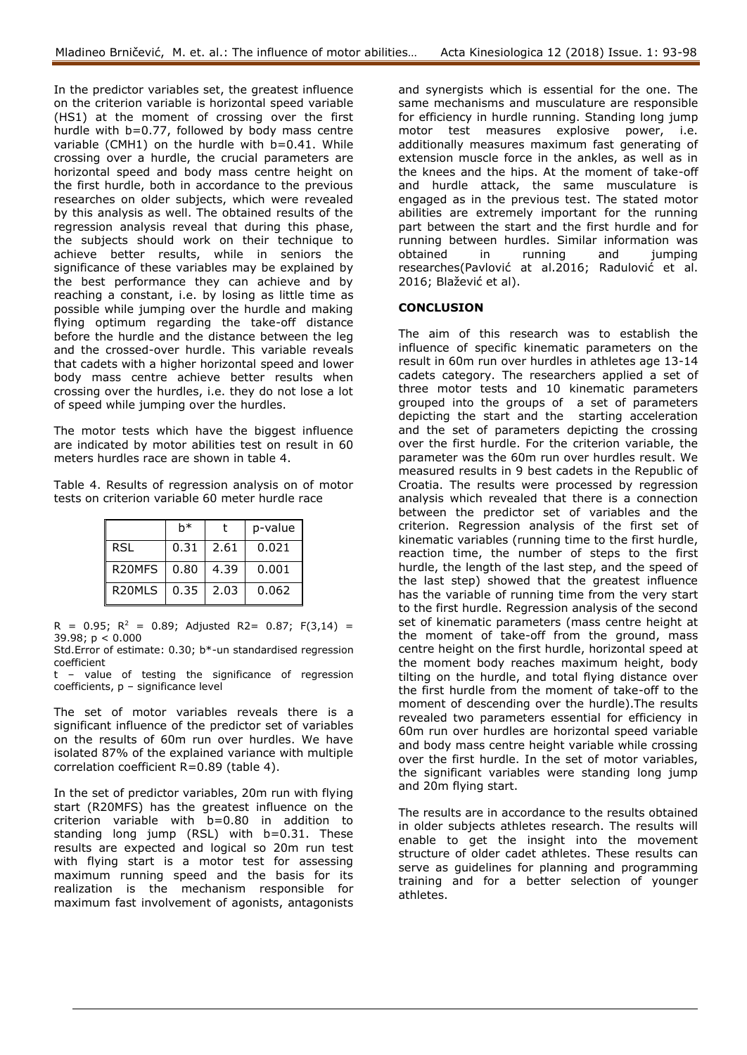In the predictor variables set, the greatest influence on the criterion variable is horizontal speed variable (HS1) at the moment of crossing over the first hurdle with b=0.77, followed by body mass centre variable (CMH1) on the hurdle with b=0.41. While crossing over a hurdle, the crucial parameters are horizontal speed and body mass centre height on the first hurdle, both in accordance to the previous researches on older subjects, which were revealed by this analysis as well. The obtained results of the regression analysis reveal that during this phase, the subjects should work on their technique to achieve better results, while in seniors the significance of these variables may be explained by the best performance they can achieve and by reaching a constant, i.e. by losing as little time as possible while jumping over the hurdle and making flying optimum regarding the take-off distance before the hurdle and the distance between the leg and the crossed-over hurdle. This variable reveals that cadets with a higher horizontal speed and lower body mass centre achieve better results when crossing over the hurdles, i.e. they do not lose a lot of speed while jumping over the hurdles.

The motor tests which have the biggest influence are indicated by motor abilities test on result in 60 meters hurdles race are shown in table 4.

Table 4. Results of regression analysis on of motor tests on criterion variable 60 meter hurdle race

|                     | h*   |      | p-value |
|---------------------|------|------|---------|
| RSL                 | 0.31 | 2.61 | 0.021   |
| R <sub>20</sub> MFS | 0.80 | 4.39 | 0.001   |
| R <sub>20</sub> MLS | 0.35 | 2.03 | 0.062   |

 $R = 0.95$ ;  $R^2 = 0.89$ ; Adjusted R2= 0.87; F(3,14) = 39.98; p < 0.000

Std.Error of estimate: 0.30; b\*-un standardised regression coefficient

t – value of testing the significance of regression coefficients, p – significance level

The set of motor variables reveals there is a significant influence of the predictor set of variables on the results of 60m run over hurdles. We have isolated 87% of the explained variance with multiple correlation coefficient R=0.89 (table 4).

In the set of predictor variables, 20m run with flying start (R20MFS) has the greatest influence on the criterion variable with b=0.80 in addition to standing long jump (RSL) with b=0.31. These results are expected and logical so 20m run test with flying start is a motor test for assessing maximum running speed and the basis for its realization is the mechanism responsible for maximum fast involvement of agonists, antagonists

and synergists which is essential for the one. The same mechanisms and musculature are responsible for efficiency in hurdle running. Standing long jump motor test measures explosive power, i.e. additionally measures maximum fast generating of extension muscle force in the ankles, as well as in the knees and the hips. At the moment of take-off and hurdle attack, the same musculature is engaged as in the previous test. The stated motor abilities are extremely important for the running part between the start and the first hurdle and for running between hurdles. Similar information was<br>obtained in running and jumping in running and jumping researches(Pavlović at al.2016; Radulović et al. 2016; Blažević et al).

## **CONCLUSION**

The aim of this research was to establish the influence of specific kinematic parameters on the result in 60m run over hurdles in athletes age 13-14 cadets category. The researchers applied a set of three motor tests and 10 kinematic parameters grouped into the groups of a set of parameters depicting the start and the starting acceleration and the set of parameters depicting the crossing over the first hurdle. For the criterion variable, the parameter was the 60m run over hurdles result. We measured results in 9 best cadets in the Republic of Croatia. The results were processed by regression analysis which revealed that there is a connection between the predictor set of variables and the criterion. Regression analysis of the first set of kinematic variables (running time to the first hurdle, reaction time, the number of steps to the first hurdle, the length of the last step, and the speed of the last step) showed that the greatest influence has the variable of running time from the very start to the first hurdle. Regression analysis of the second set of kinematic parameters (mass centre height at the moment of take-off from the ground, mass centre height on the first hurdle, horizontal speed at the moment body reaches maximum height, body tilting on the hurdle, and total flying distance over the first hurdle from the moment of take-off to the moment of descending over the hurdle).The results revealed two parameters essential for efficiency in 60m run over hurdles are horizontal speed variable and body mass centre height variable while crossing over the first hurdle. In the set of motor variables, the significant variables were standing long jump and 20m flying start.

The results are in accordance to the results obtained in older subjects athletes research. The results will enable to get the insight into the movement structure of older cadet athletes. These results can serve as guidelines for planning and programming training and for a better selection of younger athletes.